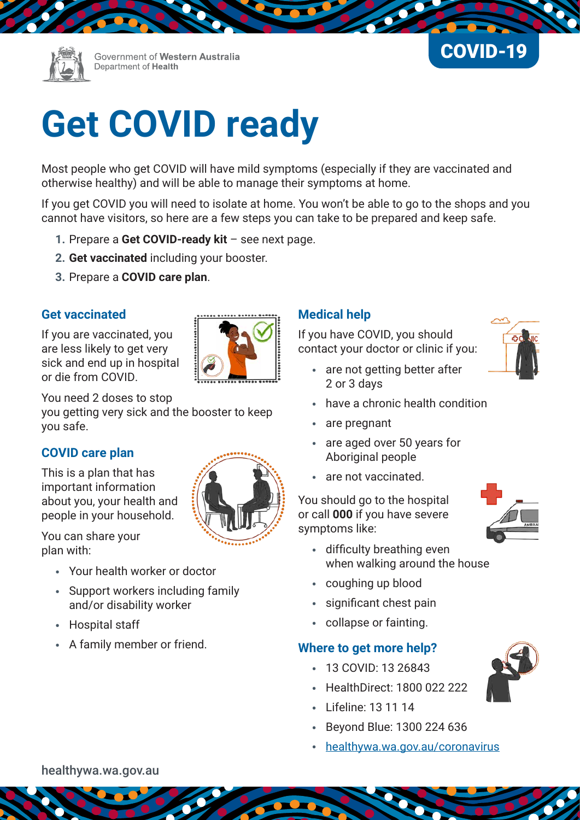

Government of Western Australia Department of Health



# **Get COVID ready**

Most people who get COVID will have mild symptoms (especially if they are vaccinated and otherwise healthy) and will be able to manage their symptoms at home.

If you get COVID you will need to isolate at home. You won't be able to go to the shops and you cannot have visitors, so here are a few steps you can take to be prepared and keep safe.

- **1.** Prepare a **Get COVID-ready kit** see next page.
- **2. Get vaccinated** including your booster.
- **3.** Prepare a **COVID care plan**.

#### **Get vaccinated**

If you are vaccinated, you are less likely to get very sick and end up in hospital or die from COVID.



You need 2 doses to stop you getting very sick and the booster to keep you safe.

#### **COVID care plan**

This is a plan that has important information about you, your health and people in your household.

You can share your plan with:

- Your health worker or doctor
- Support workers including family and/or disability worker
- Hospital staff
- A family member or friend.

### **Medical help**

If you have COVID, you should contact your doctor or clinic if you:

- are not getting better after 2 or 3 days
- have a chronic health condition
- are pregnant
- are aged over 50 years for Aboriginal people
- are not vaccinated.

You should go to the hospital or call **000** if you have severe symptoms like:

- 
- difficulty breathing even when walking around the house
- coughing up blood
- significant chest pain
- collapse or fainting.

### **Where to get more help?**

- 13 COVID: 13 26843
- HealthDirect: 1800 022 222
- Lifeline: 13 11 14
- Beyond Blue: 1300 224 636
- [healthywa.wa.gov.au/coronavirus](http://www.healthywa.wa.gov.au/coronavirus)



[healthywa.wa.gov.au](https://healthywa.wa.gov.au)